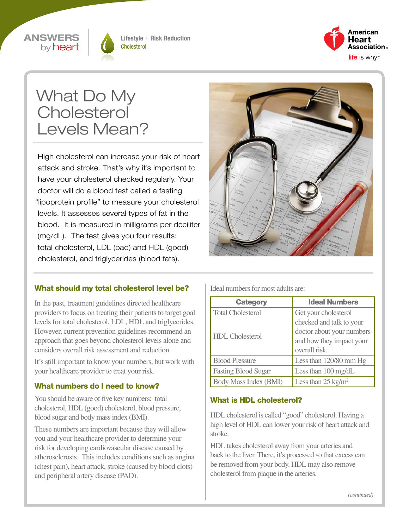



Lifestyle + Risk Reduction **Cholesterol** 



# What Do My **Cholesterol** Levels Mean?

High cholesterol can increase your risk of heart attack and stroke. That's why it's important to have your cholesterol checked regularly. Your doctor will do a blood test called a fasting "lipoprotein profile" to measure your cholesterol levels. It assesses several types of fat in the blood. It is measured in milligrams per deciliter (mg/dL). The test gives you four results: total cholesterol, LDL (bad) and HDL (good) cholesterol, and triglycerides (blood fats).



#### What should my total cholesterol level be?

In the past, treatment guidelines directed healthcare providers to focus on treating their patients to target goal levels for total cholesterol, LDL, HDL and triglycerides. However, current prevention guidelines recommend an approach that goes beyond cholesterol levels alone and considers overall risk assessment and reduction.

It's still important to know your numbers, but work with your healthcare provider to treat your risk.

#### What numbers do I need to know?

You should be aware of five key numbers: total cholesterol, HDL (good) cholesterol, blood pressure, blood sugar and body mass index (BMI).

These numbers are important because they will allow you and your healthcare provider to determine your risk for developing cardiovascular disease caused by atherosclerosis. This includes conditions such as angina (chest pain), heart attack, stroke (caused by blood clots) and peripheral artery disease (PAD).

Ideal numbers for most adults are:

| <b>Category</b>            | <b>Ideal Numbers</b>                                                   |  |
|----------------------------|------------------------------------------------------------------------|--|
| <b>Total Cholesterol</b>   | Get your cholesterol                                                   |  |
|                            | checked and talk to your                                               |  |
| <b>HDL</b> Cholesterol     | doctor about your numbers<br>and how they impact your<br>overall risk. |  |
| <b>Blood Pressure</b>      | Less than 120/80 mm Hg                                                 |  |
| <b>Fasting Blood Sugar</b> | Less than $100 \text{ mg/dL}$                                          |  |
| Body Mass Index (BMI)      | Less than $25 \text{ kg/m}^2$                                          |  |

#### What is HDL cholesterol?

HDL cholesterol is called "good" cholesterol. Having a high level of HDL can lower your risk of heart attack and stroke.

HDL takes cholesterol away from your arteries and back to the liver. There, it's processed so that excess can be removed from your body. HDL may also remove cholesterol from plaque in the arteries.